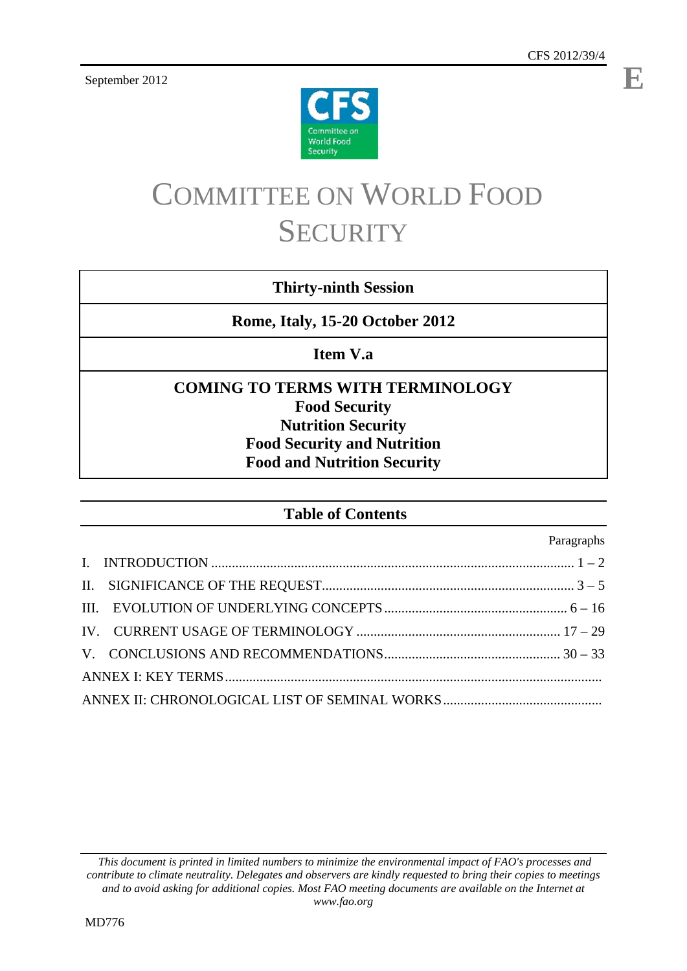September 2012



# COMMITTEE ON WORLD FOOD **SECURITY**

# **Thirty-ninth Session**

**Rome, Italy, 15-20 October 2012** 

**Item V.a** 

# **COMING TO TERMS WITH TERMINOLOGY Food Security Nutrition Security Food Security and Nutrition Food and Nutrition Security**

# **Table of Contents**

Paragraphs

 *This document is printed in limited numbers to minimize the environmental impact of FAO's processes and contribute to climate neutrality. Delegates and observers are kindly requested to bring their copies to meetings and to avoid asking for additional copies. Most FAO meeting documents are available on the Internet at www.fao.org* 

**E**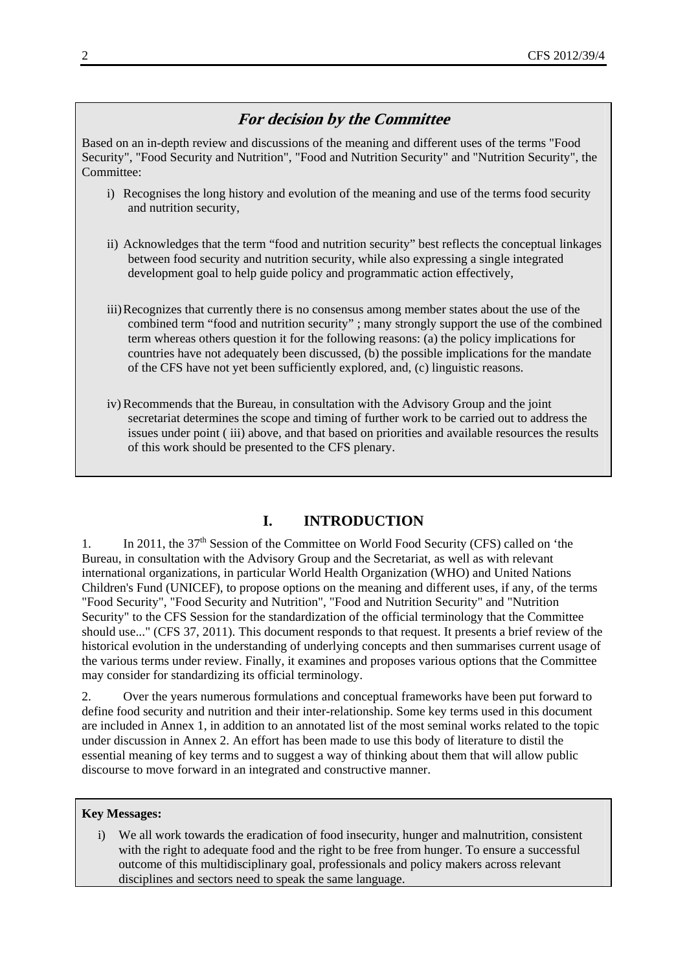# **For decision by the Committee**

Based on an in-depth review and discussions of the meaning and different uses of the terms "Food Security", "Food Security and Nutrition", "Food and Nutrition Security" and "Nutrition Security", the Committee:

- i) Recognises the long history and evolution of the meaning and use of the terms food security and nutrition security,
- ii) Acknowledges that the term "food and nutrition security" best reflects the conceptual linkages between food security and nutrition security, while also expressing a single integrated development goal to help guide policy and programmatic action effectively,
- iii)Recognizes that currently there is no consensus among member states about the use of the combined term "food and nutrition security" ; many strongly support the use of the combined term whereas others question it for the following reasons: (a) the policy implications for countries have not adequately been discussed, (b) the possible implications for the mandate of the CFS have not yet been sufficiently explored, and, (c) linguistic reasons.
- iv) Recommends that the Bureau, in consultation with the Advisory Group and the joint secretariat determines the scope and timing of further work to be carried out to address the issues under point ( iii) above, and that based on priorities and available resources the results of this work should be presented to the CFS plenary.

# **I. INTRODUCTION**

1. In 2011, the 37<sup>th</sup> Session of the Committee on World Food Security (CFS) called on 'the Bureau, in consultation with the Advisory Group and the Secretariat, as well as with relevant international organizations, in particular World Health Organization (WHO) and United Nations Children's Fund (UNICEF), to propose options on the meaning and different uses, if any, of the terms "Food Security", "Food Security and Nutrition", "Food and Nutrition Security" and "Nutrition Security" to the CFS Session for the standardization of the official terminology that the Committee should use..." (CFS 37, 2011). This document responds to that request. It presents a brief review of the historical evolution in the understanding of underlying concepts and then summarises current usage of the various terms under review. Finally, it examines and proposes various options that the Committee may consider for standardizing its official terminology.

2. Over the years numerous formulations and conceptual frameworks have been put forward to define food security and nutrition and their inter-relationship. Some key terms used in this document are included in Annex 1, in addition to an annotated list of the most seminal works related to the topic under discussion in Annex 2. An effort has been made to use this body of literature to distil the essential meaning of key terms and to suggest a way of thinking about them that will allow public discourse to move forward in an integrated and constructive manner.

## **Key Messages:**

i) We all work towards the eradication of food insecurity, hunger and malnutrition, consistent with the right to adequate food and the right to be free from hunger. To ensure a successful outcome of this multidisciplinary goal, professionals and policy makers across relevant disciplines and sectors need to speak the same language.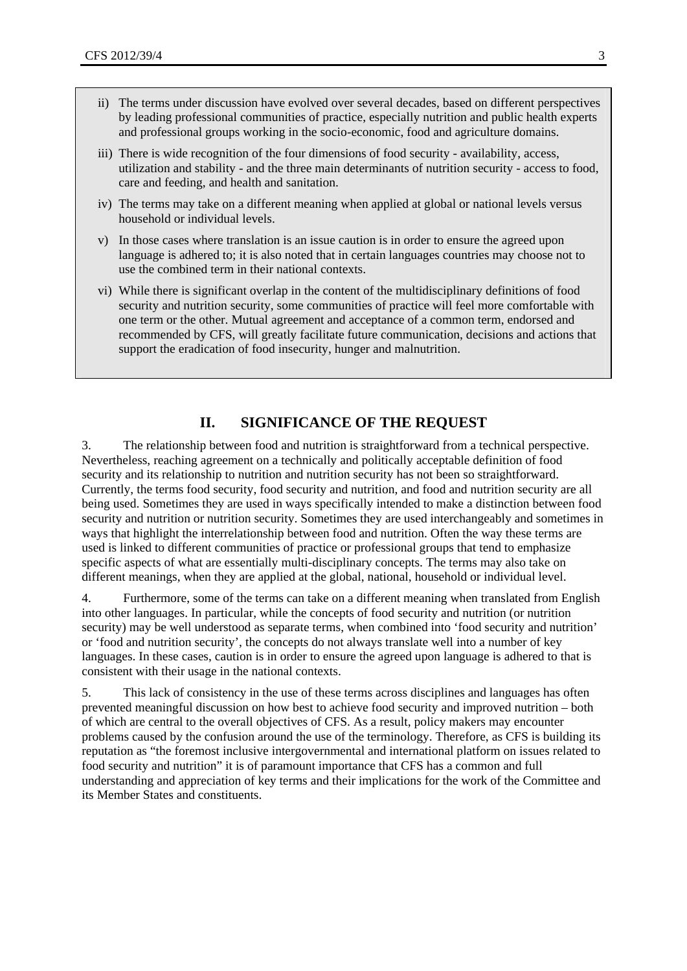- ii) The terms under discussion have evolved over several decades, based on different perspectives by leading professional communities of practice, especially nutrition and public health experts and professional groups working in the socio-economic, food and agriculture domains.
- iii) There is wide recognition of the four dimensions of food security availability, access, utilization and stability - and the three main determinants of nutrition security - access to food, care and feeding, and health and sanitation.
- iv) The terms may take on a different meaning when applied at global or national levels versus household or individual levels.
- v) In those cases where translation is an issue caution is in order to ensure the agreed upon language is adhered to; it is also noted that in certain languages countries may choose not to use the combined term in their national contexts.
- vi) While there is significant overlap in the content of the multidisciplinary definitions of food security and nutrition security, some communities of practice will feel more comfortable with one term or the other. Mutual agreement and acceptance of a common term, endorsed and recommended by CFS, will greatly facilitate future communication, decisions and actions that support the eradication of food insecurity, hunger and malnutrition.

# **II. SIGNIFICANCE OF THE REQUEST**

3. The relationship between food and nutrition is straightforward from a technical perspective. Nevertheless, reaching agreement on a technically and politically acceptable definition of food security and its relationship to nutrition and nutrition security has not been so straightforward. Currently, the terms food security, food security and nutrition, and food and nutrition security are all being used. Sometimes they are used in ways specifically intended to make a distinction between food security and nutrition or nutrition security. Sometimes they are used interchangeably and sometimes in ways that highlight the interrelationship between food and nutrition. Often the way these terms are used is linked to different communities of practice or professional groups that tend to emphasize specific aspects of what are essentially multi-disciplinary concepts. The terms may also take on different meanings, when they are applied at the global, national, household or individual level.

4. Furthermore, some of the terms can take on a different meaning when translated from English into other languages. In particular, while the concepts of food security and nutrition (or nutrition security) may be well understood as separate terms, when combined into 'food security and nutrition' or 'food and nutrition security', the concepts do not always translate well into a number of key languages. In these cases, caution is in order to ensure the agreed upon language is adhered to that is consistent with their usage in the national contexts.

5. This lack of consistency in the use of these terms across disciplines and languages has often prevented meaningful discussion on how best to achieve food security and improved nutrition – both of which are central to the overall objectives of CFS. As a result, policy makers may encounter problems caused by the confusion around the use of the terminology. Therefore, as CFS is building its reputation as "the foremost inclusive intergovernmental and international platform on issues related to food security and nutrition" it is of paramount importance that CFS has a common and full understanding and appreciation of key terms and their implications for the work of the Committee and its Member States and constituents.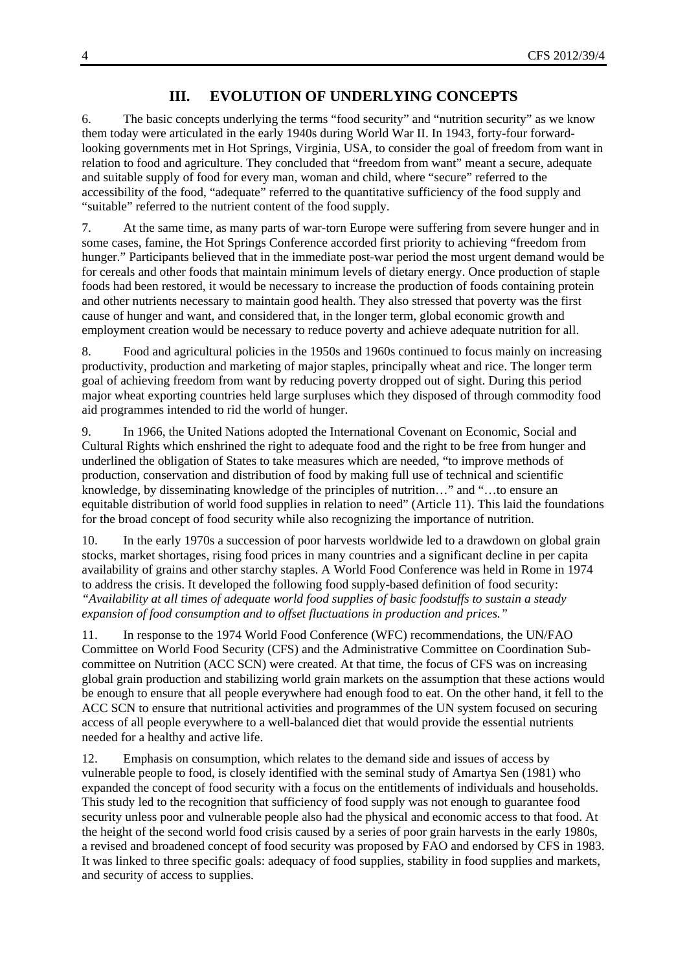# **III. EVOLUTION OF UNDERLYING CONCEPTS**

6. The basic concepts underlying the terms "food security" and "nutrition security" as we know them today were articulated in the early 1940s during World War II. In 1943, forty-four forwardlooking governments met in Hot Springs, Virginia, USA, to consider the goal of freedom from want in relation to food and agriculture. They concluded that "freedom from want" meant a secure, adequate and suitable supply of food for every man, woman and child, where "secure" referred to the accessibility of the food, "adequate" referred to the quantitative sufficiency of the food supply and "suitable" referred to the nutrient content of the food supply.

7. At the same time, as many parts of war-torn Europe were suffering from severe hunger and in some cases, famine, the Hot Springs Conference accorded first priority to achieving "freedom from hunger." Participants believed that in the immediate post-war period the most urgent demand would be for cereals and other foods that maintain minimum levels of dietary energy. Once production of staple foods had been restored, it would be necessary to increase the production of foods containing protein and other nutrients necessary to maintain good health. They also stressed that poverty was the first cause of hunger and want, and considered that, in the longer term, global economic growth and employment creation would be necessary to reduce poverty and achieve adequate nutrition for all.

8. Food and agricultural policies in the 1950s and 1960s continued to focus mainly on increasing productivity, production and marketing of major staples, principally wheat and rice. The longer term goal of achieving freedom from want by reducing poverty dropped out of sight. During this period major wheat exporting countries held large surpluses which they disposed of through commodity food aid programmes intended to rid the world of hunger.

9. In 1966, the United Nations adopted the International Covenant on Economic, Social and Cultural Rights which enshrined the right to adequate food and the right to be free from hunger and underlined the obligation of States to take measures which are needed, "to improve methods of production, conservation and distribution of food by making full use of technical and scientific knowledge, by disseminating knowledge of the principles of nutrition…" and "…to ensure an equitable distribution of world food supplies in relation to need" (Article 11). This laid the foundations for the broad concept of food security while also recognizing the importance of nutrition.

10. In the early 1970s a succession of poor harvests worldwide led to a drawdown on global grain stocks, market shortages, rising food prices in many countries and a significant decline in per capita availability of grains and other starchy staples. A World Food Conference was held in Rome in 1974 to address the crisis. It developed the following food supply-based definition of food security: *"Availability at all times of adequate world food supplies of basic foodstuffs to sustain a steady expansion of food consumption and to offset fluctuations in production and prices."*

11. In response to the 1974 World Food Conference (WFC) recommendations, the UN/FAO Committee on World Food Security (CFS) and the Administrative Committee on Coordination Subcommittee on Nutrition (ACC SCN) were created. At that time, the focus of CFS was on increasing global grain production and stabilizing world grain markets on the assumption that these actions would be enough to ensure that all people everywhere had enough food to eat. On the other hand, it fell to the ACC SCN to ensure that nutritional activities and programmes of the UN system focused on securing access of all people everywhere to a well-balanced diet that would provide the essential nutrients needed for a healthy and active life.

12. Emphasis on consumption, which relates to the demand side and issues of access by vulnerable people to food, is closely identified with the seminal study of Amartya Sen (1981) who expanded the concept of food security with a focus on the entitlements of individuals and households. This study led to the recognition that sufficiency of food supply was not enough to guarantee food security unless poor and vulnerable people also had the physical and economic access to that food. At the height of the second world food crisis caused by a series of poor grain harvests in the early 1980s, a revised and broadened concept of food security was proposed by FAO and endorsed by CFS in 1983. It was linked to three specific goals: adequacy of food supplies, stability in food supplies and markets, and security of access to supplies.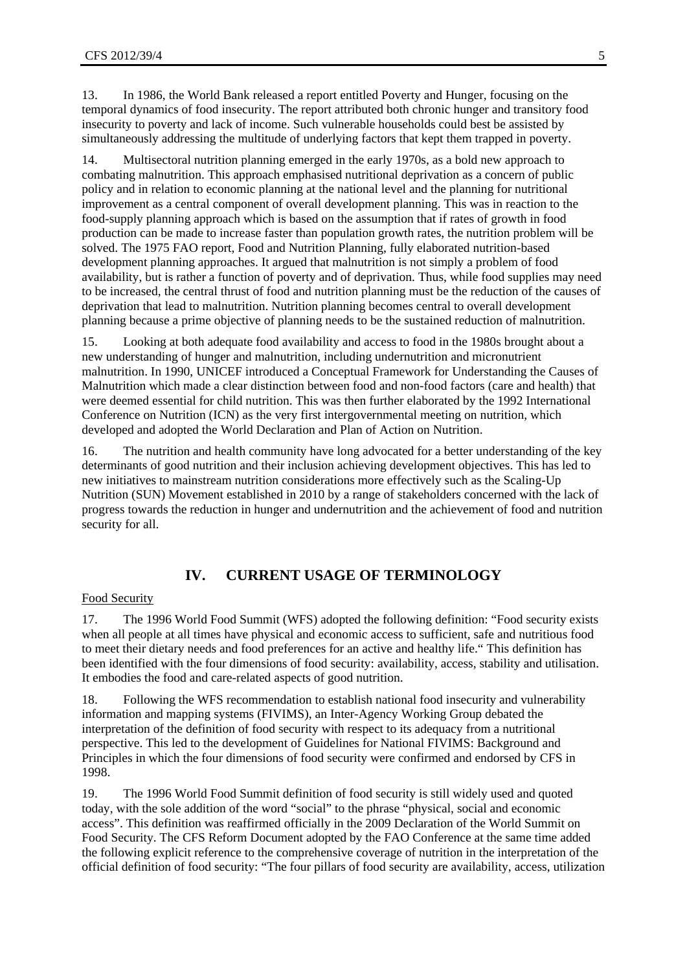13. In 1986, the World Bank released a report entitled Poverty and Hunger, focusing on the temporal dynamics of food insecurity. The report attributed both chronic hunger and transitory food insecurity to poverty and lack of income. Such vulnerable households could best be assisted by simultaneously addressing the multitude of underlying factors that kept them trapped in poverty.

14. Multisectoral nutrition planning emerged in the early 1970s, as a bold new approach to combating malnutrition. This approach emphasised nutritional deprivation as a concern of public policy and in relation to economic planning at the national level and the planning for nutritional improvement as a central component of overall development planning. This was in reaction to the food-supply planning approach which is based on the assumption that if rates of growth in food production can be made to increase faster than population growth rates, the nutrition problem will be solved. The 1975 FAO report, Food and Nutrition Planning, fully elaborated nutrition-based development planning approaches. It argued that malnutrition is not simply a problem of food availability, but is rather a function of poverty and of deprivation. Thus, while food supplies may need to be increased, the central thrust of food and nutrition planning must be the reduction of the causes of deprivation that lead to malnutrition. Nutrition planning becomes central to overall development planning because a prime objective of planning needs to be the sustained reduction of malnutrition.

15. Looking at both adequate food availability and access to food in the 1980s brought about a new understanding of hunger and malnutrition, including undernutrition and micronutrient malnutrition. In 1990, UNICEF introduced a Conceptual Framework for Understanding the Causes of Malnutrition which made a clear distinction between food and non-food factors (care and health) that were deemed essential for child nutrition. This was then further elaborated by the 1992 International Conference on Nutrition (ICN) as the very first intergovernmental meeting on nutrition, which developed and adopted the World Declaration and Plan of Action on Nutrition.

16. The nutrition and health community have long advocated for a better understanding of the key determinants of good nutrition and their inclusion achieving development objectives. This has led to new initiatives to mainstream nutrition considerations more effectively such as the Scaling-Up Nutrition (SUN) Movement established in 2010 by a range of stakeholders concerned with the lack of progress towards the reduction in hunger and undernutrition and the achievement of food and nutrition security for all.

# **IV. CURRENT USAGE OF TERMINOLOGY**

## Food Security

17. The 1996 World Food Summit (WFS) adopted the following definition: "Food security exists when all people at all times have physical and economic access to sufficient, safe and nutritious food to meet their dietary needs and food preferences for an active and healthy life." This definition has been identified with the four dimensions of food security: availability, access, stability and utilisation. It embodies the food and care-related aspects of good nutrition.

18. Following the WFS recommendation to establish national food insecurity and vulnerability information and mapping systems (FIVIMS), an Inter-Agency Working Group debated the interpretation of the definition of food security with respect to its adequacy from a nutritional perspective. This led to the development of Guidelines for National FIVIMS: Background and Principles in which the four dimensions of food security were confirmed and endorsed by CFS in 1998.

19. The 1996 World Food Summit definition of food security is still widely used and quoted today, with the sole addition of the word "social" to the phrase "physical, social and economic access". This definition was reaffirmed officially in the 2009 Declaration of the World Summit on Food Security. The CFS Reform Document adopted by the FAO Conference at the same time added the following explicit reference to the comprehensive coverage of nutrition in the interpretation of the official definition of food security: "The four pillars of food security are availability, access, utilization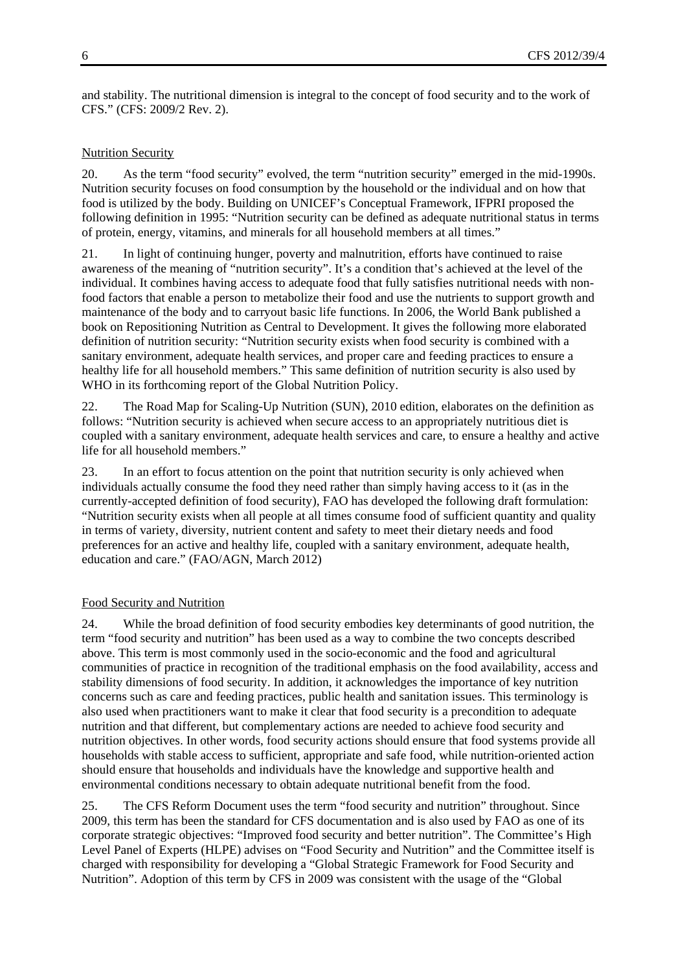and stability. The nutritional dimension is integral to the concept of food security and to the work of CFS." (CFS: 2009/2 Rev. 2).

## Nutrition Security

20. As the term "food security" evolved, the term "nutrition security" emerged in the mid-1990s. Nutrition security focuses on food consumption by the household or the individual and on how that food is utilized by the body. Building on UNICEF's Conceptual Framework, IFPRI proposed the following definition in 1995: "Nutrition security can be defined as adequate nutritional status in terms of protein, energy, vitamins, and minerals for all household members at all times."

21. In light of continuing hunger, poverty and malnutrition, efforts have continued to raise awareness of the meaning of "nutrition security". It's a condition that's achieved at the level of the individual. It combines having access to adequate food that fully satisfies nutritional needs with nonfood factors that enable a person to metabolize their food and use the nutrients to support growth and maintenance of the body and to carryout basic life functions. In 2006, the World Bank published a book on Repositioning Nutrition as Central to Development. It gives the following more elaborated definition of nutrition security: "Nutrition security exists when food security is combined with a sanitary environment, adequate health services, and proper care and feeding practices to ensure a healthy life for all household members." This same definition of nutrition security is also used by WHO in its forthcoming report of the Global Nutrition Policy.

22. The Road Map for Scaling-Up Nutrition (SUN), 2010 edition, elaborates on the definition as follows: "Nutrition security is achieved when secure access to an appropriately nutritious diet is coupled with a sanitary environment, adequate health services and care, to ensure a healthy and active life for all household members."

23. In an effort to focus attention on the point that nutrition security is only achieved when individuals actually consume the food they need rather than simply having access to it (as in the currently-accepted definition of food security), FAO has developed the following draft formulation: "Nutrition security exists when all people at all times consume food of sufficient quantity and quality in terms of variety, diversity, nutrient content and safety to meet their dietary needs and food preferences for an active and healthy life, coupled with a sanitary environment, adequate health, education and care." (FAO/AGN, March 2012)

## Food Security and Nutrition

24. While the broad definition of food security embodies key determinants of good nutrition, the term "food security and nutrition" has been used as a way to combine the two concepts described above. This term is most commonly used in the socio-economic and the food and agricultural communities of practice in recognition of the traditional emphasis on the food availability, access and stability dimensions of food security. In addition, it acknowledges the importance of key nutrition concerns such as care and feeding practices, public health and sanitation issues. This terminology is also used when practitioners want to make it clear that food security is a precondition to adequate nutrition and that different, but complementary actions are needed to achieve food security and nutrition objectives. In other words, food security actions should ensure that food systems provide all households with stable access to sufficient, appropriate and safe food, while nutrition-oriented action should ensure that households and individuals have the knowledge and supportive health and environmental conditions necessary to obtain adequate nutritional benefit from the food.

25. The CFS Reform Document uses the term "food security and nutrition" throughout. Since 2009, this term has been the standard for CFS documentation and is also used by FAO as one of its corporate strategic objectives: "Improved food security and better nutrition". The Committee's High Level Panel of Experts (HLPE) advises on "Food Security and Nutrition" and the Committee itself is charged with responsibility for developing a "Global Strategic Framework for Food Security and Nutrition". Adoption of this term by CFS in 2009 was consistent with the usage of the "Global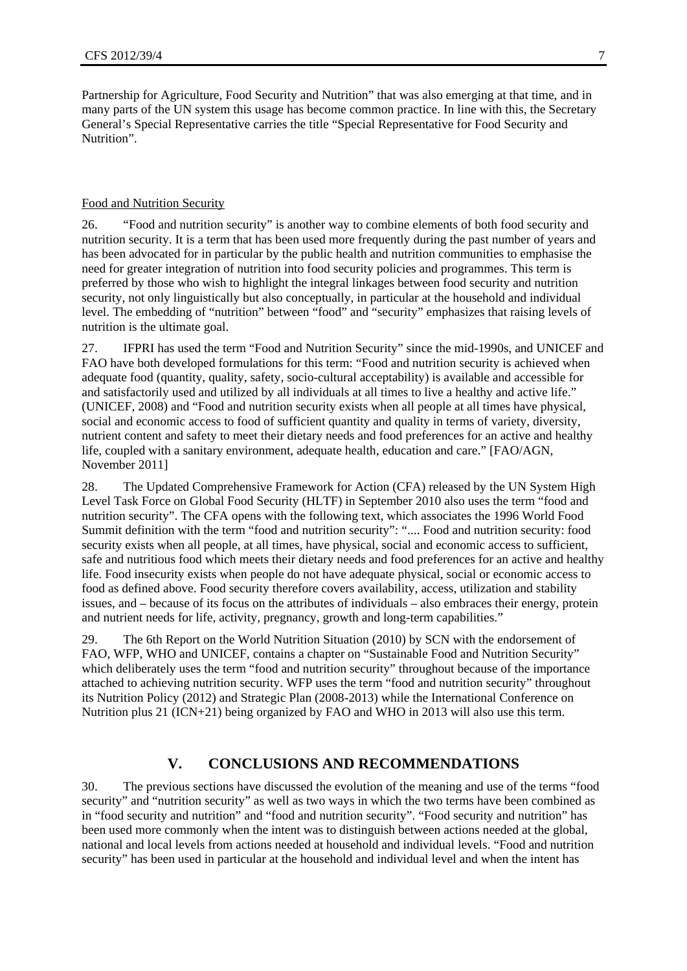Partnership for Agriculture, Food Security and Nutrition" that was also emerging at that time, and in many parts of the UN system this usage has become common practice. In line with this, the Secretary General's Special Representative carries the title "Special Representative for Food Security and Nutrition".

#### Food and Nutrition Security

26. "Food and nutrition security" is another way to combine elements of both food security and nutrition security. It is a term that has been used more frequently during the past number of years and has been advocated for in particular by the public health and nutrition communities to emphasise the need for greater integration of nutrition into food security policies and programmes. This term is preferred by those who wish to highlight the integral linkages between food security and nutrition security, not only linguistically but also conceptually, in particular at the household and individual level. The embedding of "nutrition" between "food" and "security" emphasizes that raising levels of nutrition is the ultimate goal.

27. IFPRI has used the term "Food and Nutrition Security" since the mid-1990s, and UNICEF and FAO have both developed formulations for this term: "Food and nutrition security is achieved when adequate food (quantity, quality, safety, socio-cultural acceptability) is available and accessible for and satisfactorily used and utilized by all individuals at all times to live a healthy and active life." (UNICEF, 2008) and "Food and nutrition security exists when all people at all times have physical, social and economic access to food of sufficient quantity and quality in terms of variety, diversity, nutrient content and safety to meet their dietary needs and food preferences for an active and healthy life, coupled with a sanitary environment, adequate health, education and care." [FAO/AGN, November 2011]

28. The Updated Comprehensive Framework for Action (CFA) released by the UN System High Level Task Force on Global Food Security (HLTF) in September 2010 also uses the term "food and nutrition security". The CFA opens with the following text, which associates the 1996 World Food Summit definition with the term "food and nutrition security": ".... Food and nutrition security: food security exists when all people, at all times, have physical, social and economic access to sufficient, safe and nutritious food which meets their dietary needs and food preferences for an active and healthy life. Food insecurity exists when people do not have adequate physical, social or economic access to food as defined above. Food security therefore covers availability, access, utilization and stability issues, and – because of its focus on the attributes of individuals – also embraces their energy, protein and nutrient needs for life, activity, pregnancy, growth and long-term capabilities."

29. The 6th Report on the World Nutrition Situation (2010) by SCN with the endorsement of FAO, WFP, WHO and UNICEF, contains a chapter on "Sustainable Food and Nutrition Security" which deliberately uses the term "food and nutrition security" throughout because of the importance attached to achieving nutrition security. WFP uses the term "food and nutrition security" throughout its Nutrition Policy (2012) and Strategic Plan (2008-2013) while the International Conference on Nutrition plus 21 (ICN+21) being organized by FAO and WHO in 2013 will also use this term.

# **V. CONCLUSIONS AND RECOMMENDATIONS**

30. The previous sections have discussed the evolution of the meaning and use of the terms "food security" and "nutrition security" as well as two ways in which the two terms have been combined as in "food security and nutrition" and "food and nutrition security". "Food security and nutrition" has been used more commonly when the intent was to distinguish between actions needed at the global, national and local levels from actions needed at household and individual levels. "Food and nutrition security" has been used in particular at the household and individual level and when the intent has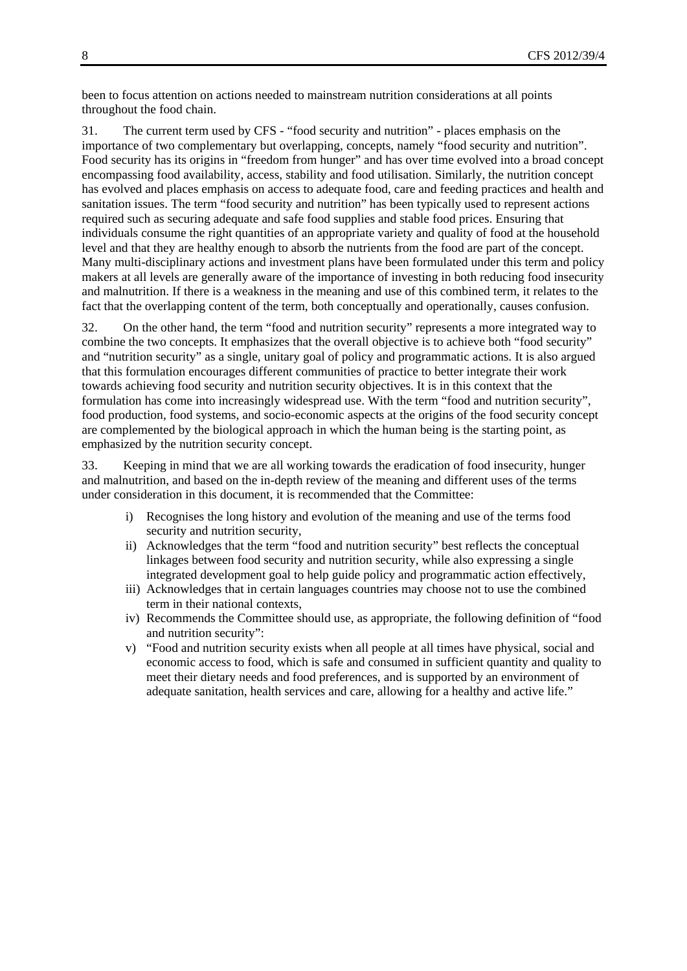been to focus attention on actions needed to mainstream nutrition considerations at all points throughout the food chain.

31. The current term used by CFS - "food security and nutrition" - places emphasis on the importance of two complementary but overlapping, concepts, namely "food security and nutrition". Food security has its origins in "freedom from hunger" and has over time evolved into a broad concept encompassing food availability, access, stability and food utilisation. Similarly, the nutrition concept has evolved and places emphasis on access to adequate food, care and feeding practices and health and sanitation issues. The term "food security and nutrition" has been typically used to represent actions required such as securing adequate and safe food supplies and stable food prices. Ensuring that individuals consume the right quantities of an appropriate variety and quality of food at the household level and that they are healthy enough to absorb the nutrients from the food are part of the concept. Many multi-disciplinary actions and investment plans have been formulated under this term and policy makers at all levels are generally aware of the importance of investing in both reducing food insecurity and malnutrition. If there is a weakness in the meaning and use of this combined term, it relates to the fact that the overlapping content of the term, both conceptually and operationally, causes confusion.

32. On the other hand, the term "food and nutrition security" represents a more integrated way to combine the two concepts. It emphasizes that the overall objective is to achieve both "food security" and "nutrition security" as a single, unitary goal of policy and programmatic actions. It is also argued that this formulation encourages different communities of practice to better integrate their work towards achieving food security and nutrition security objectives. It is in this context that the formulation has come into increasingly widespread use. With the term "food and nutrition security", food production, food systems, and socio-economic aspects at the origins of the food security concept are complemented by the biological approach in which the human being is the starting point, as emphasized by the nutrition security concept.

33. Keeping in mind that we are all working towards the eradication of food insecurity, hunger and malnutrition, and based on the in-depth review of the meaning and different uses of the terms under consideration in this document, it is recommended that the Committee:

- i) Recognises the long history and evolution of the meaning and use of the terms food security and nutrition security,
- ii) Acknowledges that the term "food and nutrition security" best reflects the conceptual linkages between food security and nutrition security, while also expressing a single integrated development goal to help guide policy and programmatic action effectively,
- iii) Acknowledges that in certain languages countries may choose not to use the combined term in their national contexts,
- iv) Recommends the Committee should use, as appropriate, the following definition of "food and nutrition security":
- v) "Food and nutrition security exists when all people at all times have physical, social and economic access to food, which is safe and consumed in sufficient quantity and quality to meet their dietary needs and food preferences, and is supported by an environment of adequate sanitation, health services and care, allowing for a healthy and active life."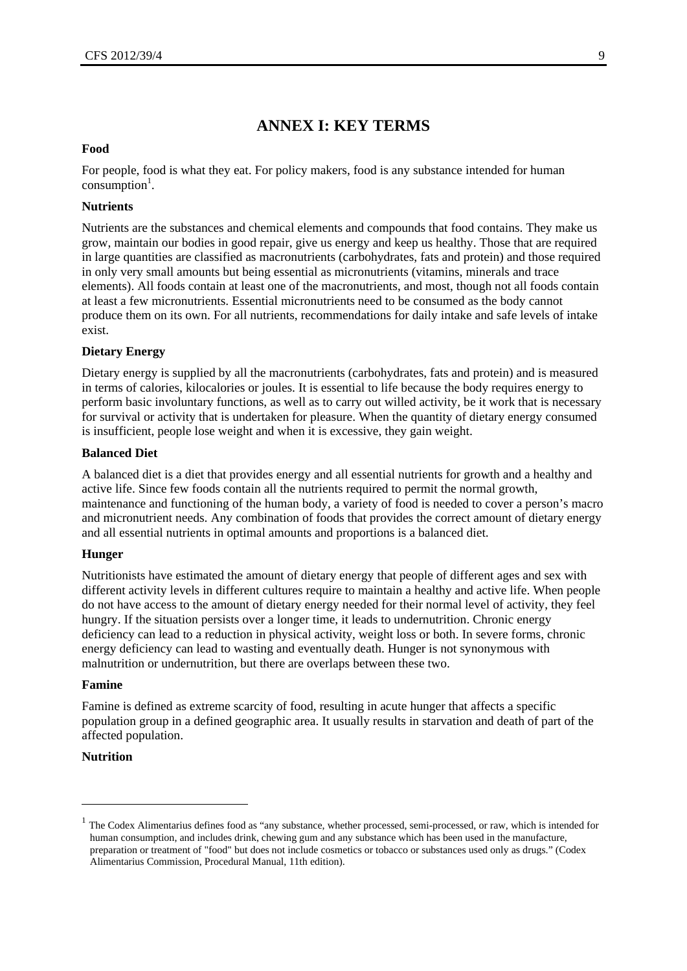# **ANNEX I: KEY TERMS**

#### **Food**

For people, food is what they eat. For policy makers, food is any substance intended for human  $\overline{\text{consumption}}^1$ .

## **Nutrients**

Nutrients are the substances and chemical elements and compounds that food contains. They make us grow, maintain our bodies in good repair, give us energy and keep us healthy. Those that are required in large quantities are classified as macronutrients (carbohydrates, fats and protein) and those required in only very small amounts but being essential as micronutrients (vitamins, minerals and trace elements). All foods contain at least one of the macronutrients, and most, though not all foods contain at least a few micronutrients. Essential micronutrients need to be consumed as the body cannot produce them on its own. For all nutrients, recommendations for daily intake and safe levels of intake exist.

#### **Dietary Energy**

Dietary energy is supplied by all the macronutrients (carbohydrates, fats and protein) and is measured in terms of calories, kilocalories or joules. It is essential to life because the body requires energy to perform basic involuntary functions, as well as to carry out willed activity, be it work that is necessary for survival or activity that is undertaken for pleasure. When the quantity of dietary energy consumed is insufficient, people lose weight and when it is excessive, they gain weight.

#### **Balanced Diet**

A balanced diet is a diet that provides energy and all essential nutrients for growth and a healthy and active life. Since few foods contain all the nutrients required to permit the normal growth, maintenance and functioning of the human body, a variety of food is needed to cover a person's macro and micronutrient needs. Any combination of foods that provides the correct amount of dietary energy and all essential nutrients in optimal amounts and proportions is a balanced diet.

#### **Hunger**

Nutritionists have estimated the amount of dietary energy that people of different ages and sex with different activity levels in different cultures require to maintain a healthy and active life. When people do not have access to the amount of dietary energy needed for their normal level of activity, they feel hungry. If the situation persists over a longer time, it leads to undernutrition. Chronic energy deficiency can lead to a reduction in physical activity, weight loss or both. In severe forms, chronic energy deficiency can lead to wasting and eventually death. Hunger is not synonymous with malnutrition or undernutrition, but there are overlaps between these two.

#### **Famine**

Famine is defined as extreme scarcity of food, resulting in acute hunger that affects a specific population group in a defined geographic area. It usually results in starvation and death of part of the affected population.

## **Nutrition**

1

 $1$  The Codex Alimentarius defines food as "any substance, whether processed, semi-processed, or raw, which is intended for human consumption, and includes drink, chewing gum and any substance which has been used in the manufacture, preparation or treatment of "food" but does not include cosmetics or tobacco or substances used only as drugs." (Codex Alimentarius Commission, Procedural Manual, 11th edition).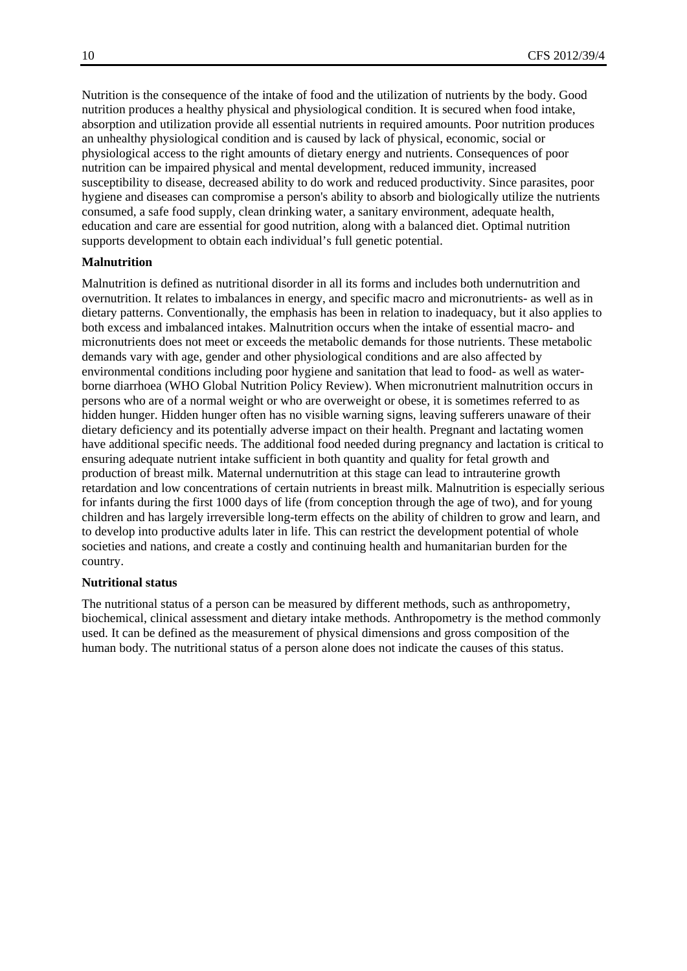Nutrition is the consequence of the intake of food and the utilization of nutrients by the body. Good nutrition produces a healthy physical and physiological condition. It is secured when food intake, absorption and utilization provide all essential nutrients in required amounts. Poor nutrition produces an unhealthy physiological condition and is caused by lack of physical, economic, social or physiological access to the right amounts of dietary energy and nutrients. Consequences of poor nutrition can be impaired physical and mental development, reduced immunity, increased susceptibility to disease, decreased ability to do work and reduced productivity. Since parasites, poor hygiene and diseases can compromise a person's ability to absorb and biologically utilize the nutrients consumed, a safe food supply, clean drinking water, a sanitary environment, adequate health, education and care are essential for good nutrition, along with a balanced diet. Optimal nutrition supports development to obtain each individual's full genetic potential.

## **Malnutrition**

Malnutrition is defined as nutritional disorder in all its forms and includes both undernutrition and overnutrition. It relates to imbalances in energy, and specific macro and micronutrients- as well as in dietary patterns. Conventionally, the emphasis has been in relation to inadequacy, but it also applies to both excess and imbalanced intakes. Malnutrition occurs when the intake of essential macro- and micronutrients does not meet or exceeds the metabolic demands for those nutrients. These metabolic demands vary with age, gender and other physiological conditions and are also affected by environmental conditions including poor hygiene and sanitation that lead to food- as well as waterborne diarrhoea (WHO Global Nutrition Policy Review). When micronutrient malnutrition occurs in persons who are of a normal weight or who are overweight or obese, it is sometimes referred to as hidden hunger. Hidden hunger often has no visible warning signs, leaving sufferers unaware of their dietary deficiency and its potentially adverse impact on their health. Pregnant and lactating women have additional specific needs. The additional food needed during pregnancy and lactation is critical to ensuring adequate nutrient intake sufficient in both quantity and quality for fetal growth and production of breast milk. Maternal undernutrition at this stage can lead to intrauterine growth retardation and low concentrations of certain nutrients in breast milk. Malnutrition is especially serious for infants during the first 1000 days of life (from conception through the age of two), and for young children and has largely irreversible long-term effects on the ability of children to grow and learn, and to develop into productive adults later in life. This can restrict the development potential of whole societies and nations, and create a costly and continuing health and humanitarian burden for the country.

#### **Nutritional status**

The nutritional status of a person can be measured by different methods, such as anthropometry, biochemical, clinical assessment and dietary intake methods. Anthropometry is the method commonly used. It can be defined as the measurement of physical dimensions and gross composition of the human body. The nutritional status of a person alone does not indicate the causes of this status.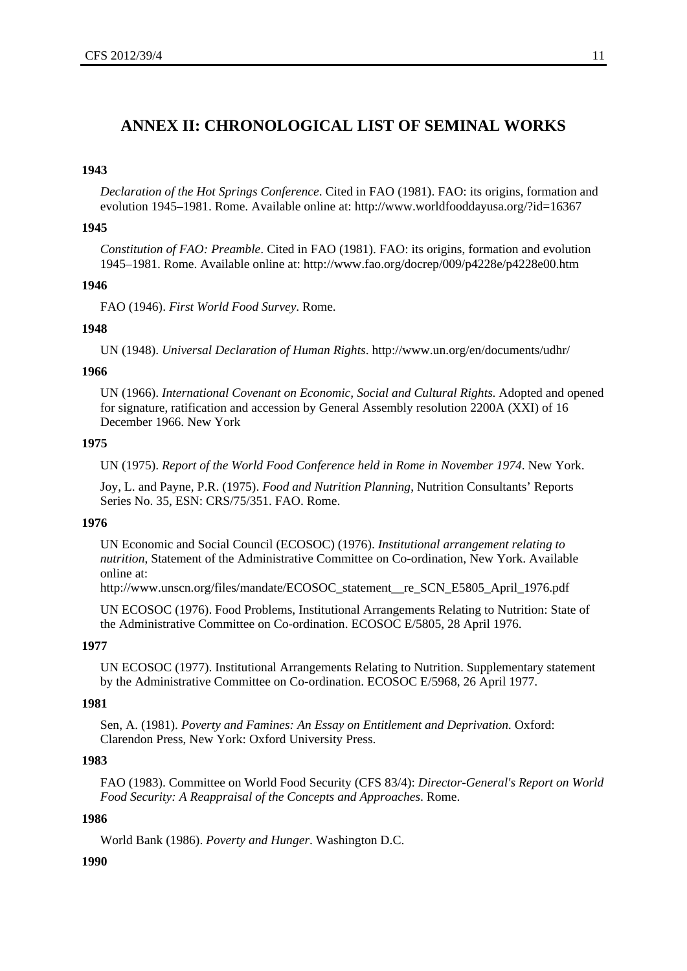# **ANNEX II: CHRONOLOGICAL LIST OF SEMINAL WORKS**

#### **1943**

*Declaration of the Hot Springs Conference*. Cited in FAO (1981). FAO: its origins, formation and evolution 1945–1981. Rome. Available online at: http://www.worldfooddayusa.org/?id=16367

#### **1945**

*Constitution of FAO: Preamble*. Cited in FAO (1981). FAO: its origins, formation and evolution 1945–1981. Rome. Available online at: http://www.fao.org/docrep/009/p4228e/p4228e00.htm

#### **1946**

FAO (1946). *First World Food Survey*. Rome.

#### **1948**

UN (1948). *Universal Declaration of Human Rights*. http://www.un.org/en/documents/udhr/

#### **1966**

UN (1966). *International Covenant on Economic, Social and Cultural Rights*. Adopted and opened for signature, ratification and accession by General Assembly resolution 2200A (XXI) of 16 December 1966. New York

#### **1975**

UN (1975). *Report of the World Food Conference held in Rome in November 1974*. New York.

Joy, L. and Payne, P.R. (1975). *Food and Nutrition Planning*, Nutrition Consultants' Reports Series No. 35, ESN: CRS/75/351. FAO. Rome.

#### **1976**

UN Economic and Social Council (ECOSOC) (1976). *Institutional arrangement relating to nutrition*, Statement of the Administrative Committee on Co-ordination, New York. Available online at:

http://www.unscn.org/files/mandate/ECOSOC\_statement\_re\_SCN\_E5805\_April\_1976.pdf

UN ECOSOC (1976). Food Problems, Institutional Arrangements Relating to Nutrition: State of the Administrative Committee on Co-ordination. ECOSOC E/5805, 28 April 1976.

#### **1977**

UN ECOSOC (1977). Institutional Arrangements Relating to Nutrition. Supplementary statement by the Administrative Committee on Co-ordination. ECOSOC E/5968, 26 April 1977.

## **1981**

Sen, A. (1981). *Poverty and Famines: An Essay on Entitlement and Deprivation*. Oxford: Clarendon Press, New York: Oxford University Press.

#### **1983**

FAO (1983). Committee on World Food Security (CFS 83/4): *Director-General's Report on World Food Security: A Reappraisal of the Concepts and Approaches*. Rome.

#### **1986**

World Bank (1986). *Poverty and Hunger*. Washington D.C.

#### **1990**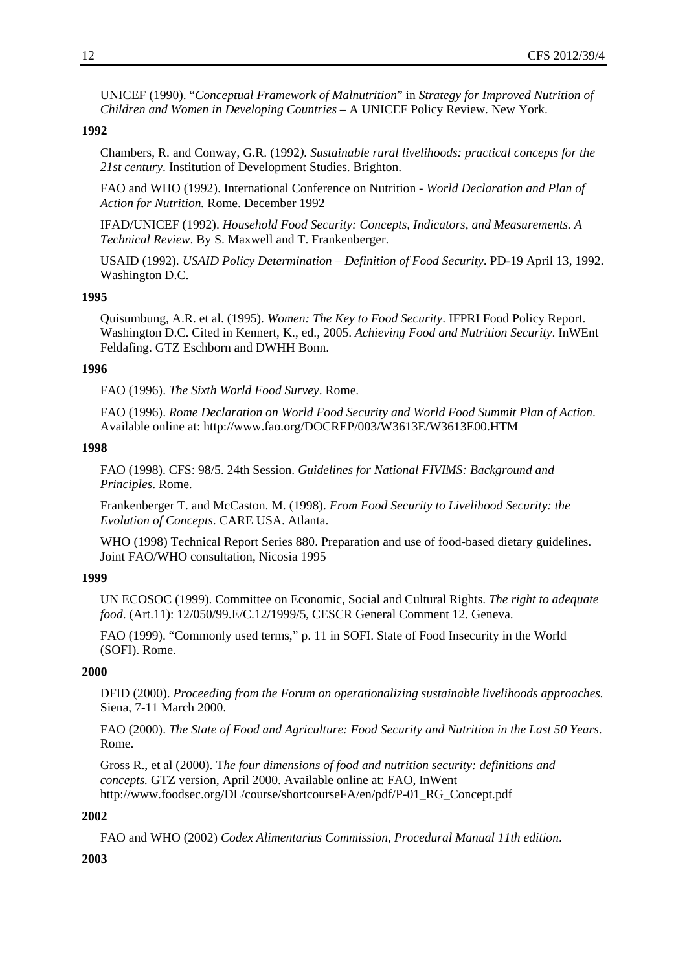UNICEF (1990). "*Conceptual Framework of Malnutrition*" in *Strategy for Improved Nutrition of Children and Women in Developing Countries* – A UNICEF Policy Review. New York.

#### **1992**

Chambers, R. and Conway, G.R. (1992*). Sustainable rural livelihoods: practical concepts for the 21st century*. Institution of Development Studies. Brighton.

FAO and WHO (1992). International Conference on Nutrition - *World Declaration and Plan of Action for Nutrition.* Rome. December 1992

IFAD/UNICEF (1992). *Household Food Security: Concepts, Indicators, and Measurements. A Technical Review*. By S. Maxwell and T. Frankenberger.

USAID (1992). *USAID Policy Determination – Definition of Food Security*. PD-19 April 13, 1992. Washington D.C.

#### **1995**

Quisumbung, A.R. et al. (1995). *Women: The Key to Food Security*. IFPRI Food Policy Report. Washington D.C. Cited in Kennert, K., ed., 2005. *Achieving Food and Nutrition Security*. InWEnt Feldafing. GTZ Eschborn and DWHH Bonn.

#### **1996**

FAO (1996). *The Sixth World Food Survey*. Rome.

FAO (1996). *Rome Declaration on World Food Security and World Food Summit Plan of Action*. Available online at: http://www.fao.org/DOCREP/003/W3613E/W3613E00.HTM

## **1998**

FAO (1998). CFS: 98/5. 24th Session. *Guidelines for National FIVIMS: Background and Principles*. Rome.

Frankenberger T. and McCaston. M. (1998). *From Food Security to Livelihood Security: the Evolution of Concepts*. CARE USA. Atlanta.

WHO (1998) Technical Report Series 880. Preparation and use of food-based dietary guidelines. Joint FAO/WHO consultation, Nicosia 1995

## **1999**

UN ECOSOC (1999). Committee on Economic, Social and Cultural Rights. *The right to adequate food*. (Art.11): 12/050/99.E/C.12/1999/5, CESCR General Comment 12. Geneva.

FAO (1999). "Commonly used terms," p. 11 in SOFI. State of Food Insecurity in the World (SOFI). Rome.

#### **2000**

DFID (2000). *Proceeding from the Forum on operationalizing sustainable livelihoods approaches.* Siena, 7-11 March 2000.

FAO (2000). *The State of Food and Agriculture: Food Security and Nutrition in the Last 50 Years*. Rome.

Gross R., et al (2000). T*he four dimensions of food and nutrition security: definitions and concepts.* GTZ version, April 2000. Available online at: FAO, InWent http://www.foodsec.org/DL/course/shortcourseFA/en/pdf/P-01\_RG\_Concept.pdf

#### **2002**

FAO and WHO (2002) *Codex Alimentarius Commission, Procedural Manual 11th edition*.

## **2003**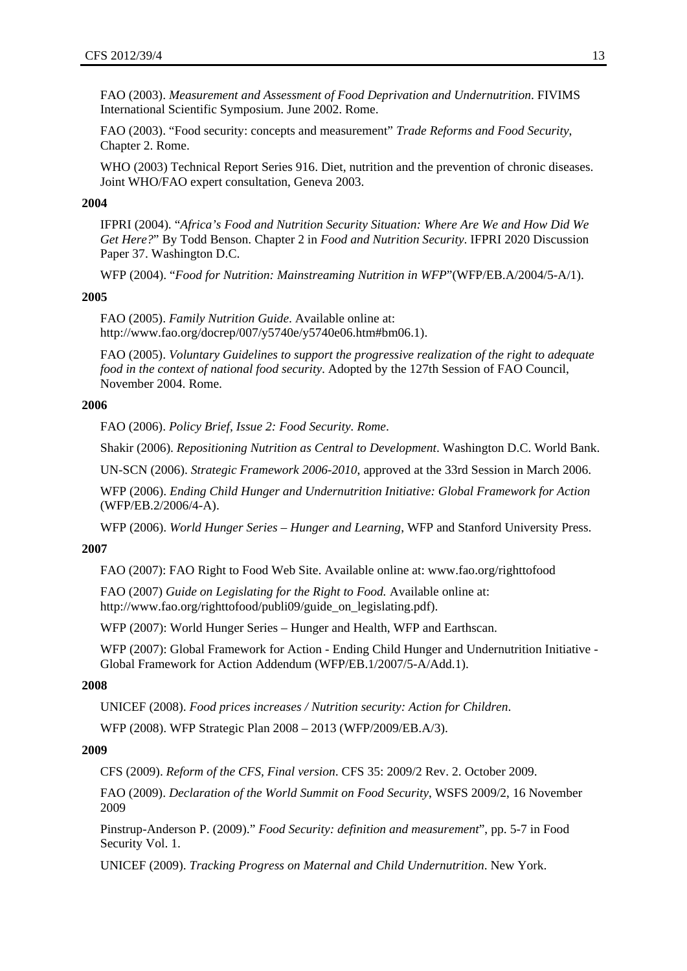FAO (2003). *Measurement and Assessment of Food Deprivation and Undernutrition*. FIVIMS International Scientific Symposium. June 2002. Rome.

FAO (2003). "Food security: concepts and measurement" *Trade Reforms and Food Security*, Chapter 2. Rome.

WHO (2003) Technical Report Series 916. Diet, nutrition and the prevention of chronic diseases. Joint WHO/FAO expert consultation, Geneva 2003.

#### **2004**

IFPRI (2004). "*Africa's Food and Nutrition Security Situation: Where Are We and How Did We Get Here?*" By Todd Benson. Chapter 2 in *Food and Nutrition Security*. IFPRI 2020 Discussion Paper 37. Washington D.C.

WFP (2004). "*Food for Nutrition: Mainstreaming Nutrition in WFP*"(WFP/EB.A/2004/5-A/1).

#### **2005**

FAO (2005). *Family Nutrition Guide*. Available online at: http://www.fao.org/docrep/007/y5740e/y5740e06.htm#bm06.1).

FAO (2005). *Voluntary Guidelines to support the progressive realization of the right to adequate food in the context of national food security*. Adopted by the 127th Session of FAO Council, November 2004. Rome.

#### **2006**

FAO (2006). *Policy Brief, Issue 2: Food Security. Rome*.

Shakir (2006). *Repositioning Nutrition as Central to Development*. Washington D.C. World Bank.

UN-SCN (2006). *Strategic Framework 2006-2010*, approved at the 33rd Session in March 2006.

WFP (2006). *Ending Child Hunger and Undernutrition Initiative: Global Framework for Action* (WFP/EB.2/2006/4-A).

WFP (2006). *World Hunger Series – Hunger and Learning*, WFP and Stanford University Press.

#### **2007**

FAO (2007): FAO Right to Food Web Site. Available online at: www.fao.org/righttofood

FAO (2007) *Guide on Legislating for the Right to Food.* Available online at: http://www.fao.org/righttofood/publi09/guide\_on\_legislating.pdf).

WFP (2007): World Hunger Series – Hunger and Health, WFP and Earthscan.

WFP (2007): Global Framework for Action - Ending Child Hunger and Undernutrition Initiative - Global Framework for Action Addendum (WFP/EB.1/2007/5-A/Add.1).

#### **2008**

UNICEF (2008). *Food prices increases / Nutrition security: Action for Children*.

WFP (2008). WFP Strategic Plan 2008 – 2013 (WFP/2009/EB.A/3).

#### **2009**

CFS (2009). *Reform of the CFS, Final version*. CFS 35: 2009/2 Rev. 2. October 2009.

FAO (2009). *Declaration of the World Summit on Food Security*, WSFS 2009/2, 16 November 2009

Pinstrup-Anderson P. (2009)." *Food Security: definition and measurement*", pp. 5-7 in Food Security Vol. 1.

UNICEF (2009). *Tracking Progress on Maternal and Child Undernutrition*. New York.